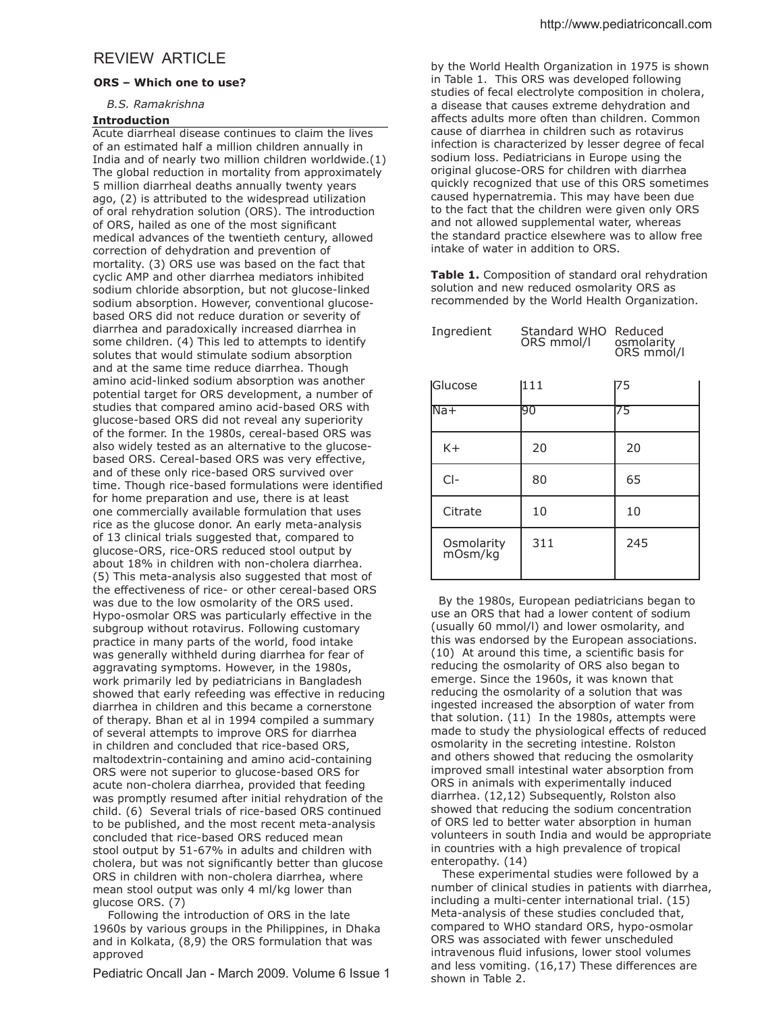# REVIEW ARTICLE

### **ORS – Which one to use?**

# *B.S. Ramakrishna*

## **Introduction**

Acute diarrheal disease continues to claim the lives of an estimated half a million children annually in India and of nearly two million children worldwide.(1) The global reduction in mortality from approximately 5 million diarrheal deaths annually twenty years ago, (2) is attributed to the widespread utilization of oral rehydration solution (ORS). The introduction of ORS, hailed as one of the most significant medical advances of the twentieth century, allowed correction of dehydration and prevention of mortality. (3) ORS use was based on the fact that cyclic AMP and other diarrhea mediators inhibited sodium chloride absorption, but not glucose-linked sodium absorption. However, conventional glucosebased ORS did not reduce duration or severity of diarrhea and paradoxically increased diarrhea in some children. (4) This led to attempts to identify solutes that would stimulate sodium absorption and at the same time reduce diarrhea. Though amino acid-linked sodium absorption was another potential target for ORS development, a number of studies that compared amino acid-based ORS with glucose-based ORS did not reveal any superiority of the former. In the 1980s, cereal-based ORS was also widely tested as an alternative to the glucosebased ORS. Cereal-based ORS was very effective, and of these only rice-based ORS survived over time. Though rice-based formulations were identified for home preparation and use, there is at least one commercially available formulation that uses rice as the glucose donor. An early meta-analysis of 13 clinical trials suggested that, compared to glucose-ORS, rice-ORS reduced stool output by about 18% in children with non-cholera diarrhea. (5) This meta-analysis also suggested that most of the effectiveness of rice- or other cereal-based ORS was due to the low osmolarity of the ORS used. Hypo-osmolar ORS was particularly efective in the subgroup without rotavirus. Following customary practice in many parts of the world, food intake was generally withheld during diarrhea for fear of aggravating symptoms. However, in the 1980s, work primarily led by pediatricians in Bangladesh showed that early refeeding was efective in reducing diarrhea in children and this became a cornerstone of therapy. Bhan et al in 1994 compiled a summary of several attempts to improve ORS for diarrhea in children and concluded that rice-based ORS, maltodextrin-containing and amino acid-containing ORS were not superior to glucose-based ORS for acute non-cholera diarrhea, provided that feeding was promptly resumed after initial rehydration of the child. (6) Several trials of rice-based ORS continued to be published, and the most recent meta-analysis concluded that rice-based ORS reduced mean stool output by 51-67% in adults and children with cholera, but was not significantly better than glucose ORS in children with non-cholera diarrhea, where mean stool output was only 4 ml/kg lower than glucose ORS. (7)

 Following the introduction of ORS in the late 1960s by various groups in the Philippines, in Dhaka and in Kolkata, (8,9) the ORS formulation that was approved

Pediatric Oncall Jan - March 2009. Volume 6 Issue 1

by the World Health Organization in 1975 is shown in Table 1. This ORS was developed following studies of fecal electrolyte composition in cholera, a disease that causes extreme dehydration and afects adults more often than children. Common cause of diarrhea in children such as rotavirus infection is characterized by lesser degree of fecal sodium loss. Pediatricians in Europe using the original glucose-ORS for children with diarrhea quickly recognized that use of this ORS sometimes caused hypernatremia. This may have been due to the fact that the children were given only ORS and not allowed supplemental water, whereas the standard practice elsewhere was to allow free intake of water in addition to ORS.

**Table 1.** Composition of standard oral rehydration solution and new reduced osmolarity ORS as recommended by the World Health Organization.

| Ingredient            | Standard WHO<br>ORS mmol/l | Reduced<br>osmolarity<br>ORS mmol/l |  |
|-----------------------|----------------------------|-------------------------------------|--|
| <b>Glucose</b>        | 111                        | 175                                 |  |
| $Na+$                 | 90                         | 75                                  |  |
| $K +$                 | 20                         | 20                                  |  |
| $Cl-$                 | 80                         | 65                                  |  |
| Citrate               | 10                         | 10                                  |  |
| Osmolarity<br>mOsm/kg | 311                        | 245                                 |  |

 By the 1980s, European pediatricians began to use an ORS that had a lower content of sodium (usually 60 mmol/l) and lower osmolarity, and this was endorsed by the European associations. (10) At around this time, a scientific basis for reducing the osmolarity of ORS also began to emerge. Since the 1960s, it was known that reducing the osmolarity of a solution that was ingested increased the absorption of water from that solution. (11) In the 1980s, attempts were made to study the physiological efects of reduced osmolarity in the secreting intestine. Rolston and others showed that reducing the osmolarity improved small intestinal water absorption from ORS in animals with experimentally induced diarrhea. (12,12) Subsequently, Rolston also showed that reducing the sodium concentration of ORS led to better water absorption in human volunteers in south India and would be appropriate in countries with a high prevalence of tropical enteropathy. (14)

 These experimental studies were followed by a number of clinical studies in patients with diarrhea, including a multi-center international trial. (15) Meta-analysis of these studies concluded that, compared to WHO standard ORS, hypo-osmolar ORS was associated with fewer unscheduled intravenous fluid infusions, lower stool volumes and less vomiting. (16,17) These diferences are shown in Table 2.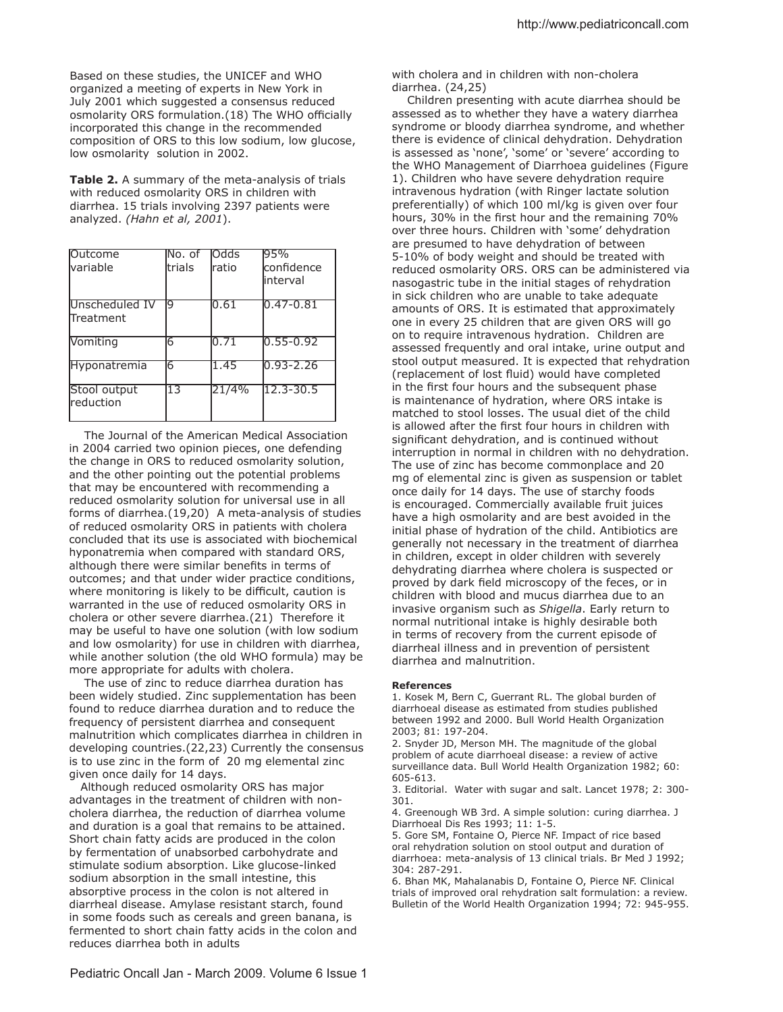Based on these studies, the UNICEF and WHO organized a meeting of experts in New York in July 2001 which suggested a consensus reduced osmolarity ORS formulation.(18) The WHO officially incorporated this change in the recommended composition of ORS to this low sodium, low glucose, low osmolarity solution in 2002.

**Table 2.** A summary of the meta-analysis of trials with reduced osmolarity ORS in children with diarrhea. 15 trials involving 2397 patients were analyzed. *(Hahn et al, 2001*).

| Outcome<br>lvariable        | lNo. of<br>ltrials | lOdds<br>Iratio | 95%<br>confidence<br>linterval |
|-----------------------------|--------------------|-----------------|--------------------------------|
| Unscheduled IV<br>Treatment | q                  | 10.61           | $ 0.47 - 0.81$                 |
| Vomiting                    | 16                 | 10.71           | $10.55 - 0.92$                 |
| <b>Hyponatremia</b>         | 6                  | 1.45            | $0.93 - 2.26$                  |
| Stool output<br>reduction   | 13                 | 21/4%           | $12.3 - 30.5$                  |

 The Journal of the American Medical Association in 2004 carried two opinion pieces, one defending the change in ORS to reduced osmolarity solution, and the other pointing out the potential problems that may be encountered with recommending a reduced osmolarity solution for universal use in all forms of diarrhea.(19,20) A meta-analysis of studies of reduced osmolarity ORS in patients with cholera concluded that its use is associated with biochemical hyponatremia when compared with standard ORS, although there were similar benefits in terms of outcomes; and that under wider practice conditions, where monitoring is likely to be difficult, caution is warranted in the use of reduced osmolarity ORS in cholera or other severe diarrhea.(21) Therefore it may be useful to have one solution (with low sodium and low osmolarity) for use in children with diarrhea, while another solution (the old WHO formula) may be more appropriate for adults with cholera.

 The use of zinc to reduce diarrhea duration has been widely studied. Zinc supplementation has been found to reduce diarrhea duration and to reduce the frequency of persistent diarrhea and consequent malnutrition which complicates diarrhea in children in developing countries.(22,23) Currently the consensus is to use zinc in the form of 20 mg elemental zinc given once daily for 14 days.

 Although reduced osmolarity ORS has major advantages in the treatment of children with noncholera diarrhea, the reduction of diarrhea volume and duration is a goal that remains to be attained. Short chain fatty acids are produced in the colon by fermentation of unabsorbed carbohydrate and stimulate sodium absorption. Like glucose-linked sodium absorption in the small intestine, this absorptive process in the colon is not altered in diarrheal disease. Amylase resistant starch, found in some foods such as cereals and green banana, is fermented to short chain fatty acids in the colon and reduces diarrhea both in adults

with cholera and in children with non-cholera diarrhea. (24,25)

 Children presenting with acute diarrhea should be assessed as to whether they have a watery diarrhea syndrome or bloody diarrhea syndrome, and whether there is evidence of clinical dehydration. Dehydration is assessed as 'none', 'some' or 'severe' according to the WHO Management of Diarrhoea guidelines (Figure 1). Children who have severe dehydration require intravenous hydration (with Ringer lactate solution preferentially) of which 100 ml/kg is given over four hours, 30% in the first hour and the remaining 70% over three hours. Children with 'some' dehydration are presumed to have dehydration of between 5-10% of body weight and should be treated with reduced osmolarity ORS. ORS can be administered via nasogastric tube in the initial stages of rehydration in sick children who are unable to take adequate amounts of ORS. It is estimated that approximately one in every 25 children that are given ORS will go on to require intravenous hydration. Children are assessed frequently and oral intake, urine output and stool output measured. It is expected that rehydration (replacement of lost fluid) would have completed in the first four hours and the subsequent phase is maintenance of hydration, where ORS intake is matched to stool losses. The usual diet of the child is allowed after the first four hours in children with significant dehydration, and is continued without interruption in normal in children with no dehydration. The use of zinc has become commonplace and 20 mg of elemental zinc is given as suspension or tablet once daily for 14 days. The use of starchy foods is encouraged. Commercially available fruit juices have a high osmolarity and are best avoided in the initial phase of hydration of the child. Antibiotics are generally not necessary in the treatment of diarrhea in children, except in older children with severely dehydrating diarrhea where cholera is suspected or proved by dark field microscopy of the feces, or in children with blood and mucus diarrhea due to an invasive organism such as *Shigella*. Early return to normal nutritional intake is highly desirable both in terms of recovery from the current episode of diarrheal illness and in prevention of persistent diarrhea and malnutrition.

#### **References**

1. Kosek M, Bern C, Guerrant RL. The global burden of diarrhoeal disease as estimated from studies published between 1992 and 2000. Bull World Health Organization 2003; 81: 197-204.

2. Snyder JD, Merson MH. The magnitude of the global problem of acute diarrhoeal disease: a review of active surveillance data. Bull World Health Organization 1982; 60: 605-613.

3. Editorial. Water with sugar and salt. Lancet 1978; 2: 300- 301.

4. Greenough WB 3rd. A simple solution: curing diarrhea. J Diarrhoeal Dis Res 1993; 11: 1-5.

5. Gore SM, Fontaine O, Pierce NF. Impact of rice based oral rehydration solution on stool output and duration of diarrhoea: meta-analysis of 13 clinical trials. Br Med J 1992; 304: 287-291.

6. Bhan MK, Mahalanabis D, Fontaine O, Pierce NF. Clinical trials of improved oral rehydration salt formulation: a review. Bulletin of the World Health Organization 1994; 72: 945-955.